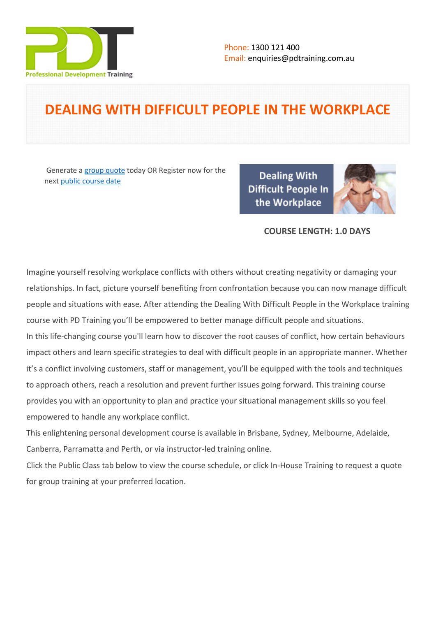

# **DEALING WITH DIFFICULT PEOPLE IN THE WORKPLACE**

Generate a [group quote](https://pdtraining.com.au/inhouse-training-quote?cse=PDTD2431_C) today OR Register now for the next [public course date](https://pdtraining.com.au/booking?schedulecode=yJNN5mRMl3oPTkEfX6an9InZasn5bSI38VavdE7WMzFBk74D8NCx0bYZwXNN9VLDvuR7jics9nLKcVOdyU7ypjc66l9q1uX0Xbg0p6tZLjzMAoWKiJpoYoolrUb7jVBPAUWaPYXBAhWfUAGRxzirfI&countryCode=AU¤cyCode=AU)

**Dealing With Difficult People In** the Workplace



### **COURSE LENGTH: 1.0 DAYS**

Imagine yourself resolving workplace conflicts with others without creating negativity or damaging your relationships. In fact, picture yourself benefiting from confrontation because you can now manage difficult people and situations with ease. After attending the Dealing With Difficult People in the Workplace training course with PD Training you'll be empowered to better manage difficult people and situations.

In this life-changing course you'll learn how to discover the root causes of conflict, how certain behaviours impact others and learn specific strategies to deal with difficult people in an appropriate manner. Whether it's a conflict involving customers, staff or management, you'll be equipped with the tools and techniques to approach others, reach a resolution and prevent further issues going forward. This training course provides you with an opportunity to plan and practice your situational management skills so you feel empowered to handle any workplace conflict.

This enlightening personal development course is available in Brisbane, Sydney, Melbourne, Adelaide, Canberra, Parramatta and Perth, or via instructor-led training online.

Click the Public Class tab below to view the course schedule, or click In-House Training to request a quote for group training at your preferred location.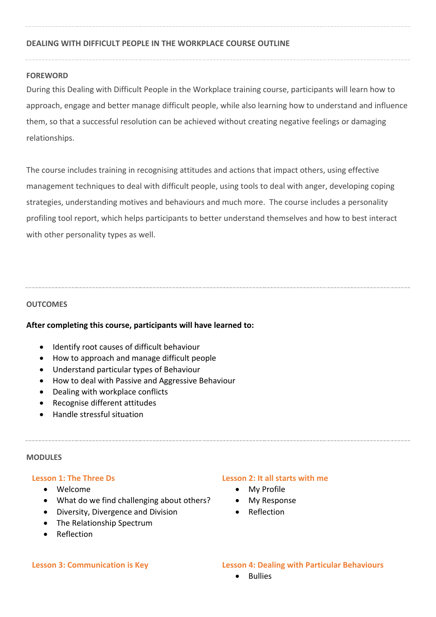# **DEALING WITH DIFFICULT PEOPLE IN THE WORKPLACE COURSE OUTLINE**

### **FOREWORD**

During this Dealing with Difficult People in the Workplace training course, participants will learn how to approach, engage and better manage difficult people, while also learning how to understand and influence them, so that a successful resolution can be achieved without creating negative feelings or damaging relationships.

The course includes training in recognising attitudes and actions that impact others, using effective management techniques to deal with difficult people, using tools to deal with anger, developing coping strategies, understanding motives and behaviours and much more. The course includes a personality profiling tool report, which helps participants to better understand themselves and how to best interact with other personality types as well.

#### **OUTCOMES**

#### **After completing this course, participants will have learned to:**

- Identify root causes of difficult behaviour
- How to approach and manage difficult people
- Understand particular types of Behaviour
- How to deal with Passive and Aggressive Behaviour
- Dealing with workplace conflicts
- Recognise different attitudes
- **•** Handle stressful situation

#### **MODULES**

#### **Lesson 1: The Three Ds**

- Welcome
- What do we find challenging about others?
- Diversity, Divergence and Division
- The Relationship Spectrum
- Reflection

#### **Lesson 2: It all starts with me**

- My Profile
- My Response
- Reflection

#### **Lesson 3: Communication is Key Lesson 4: Dealing with Particular Behaviours**

**•** Bullies